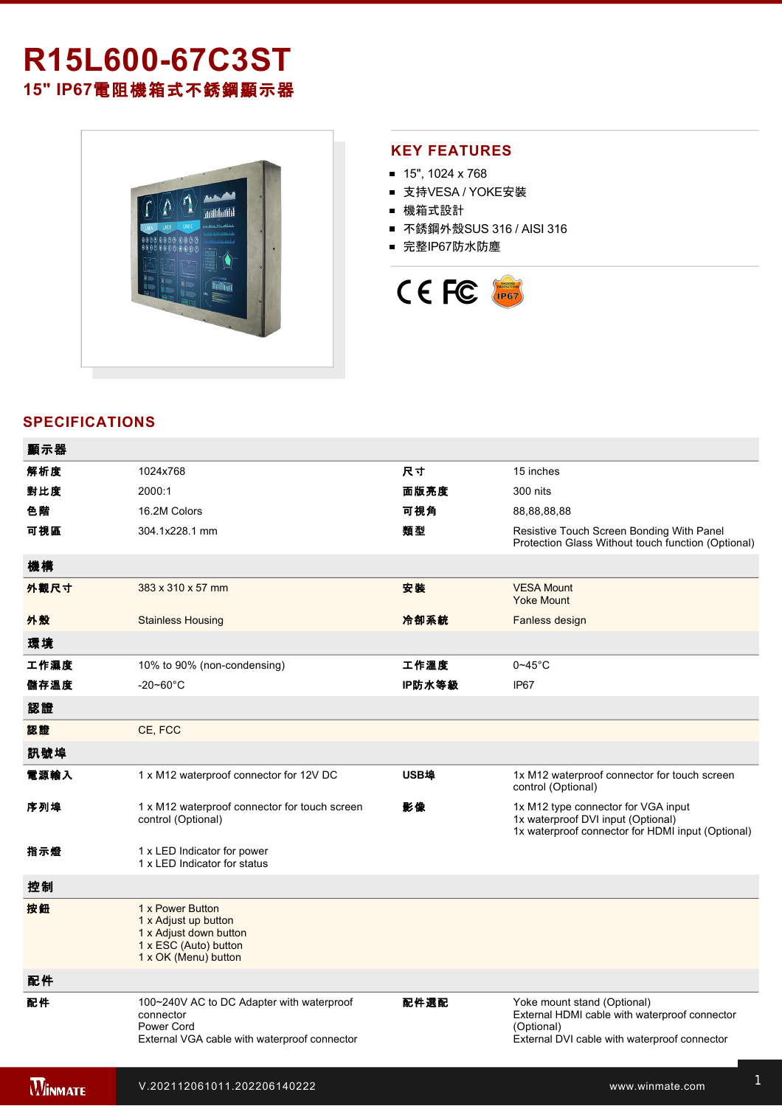## **R15L60067C3ST 15" IP67**電阻機箱式不銹鋼顯示器



## **KEY FEATURES**

- $\blacksquare$  15", 1024 x 768
- 支持VESA / YOKE安裝
- 機箱式設計
- 不銹鋼外殼SUS 316 / AISI 316
- 完整IP67防水防塵



## **SPECIFICATIONS**

| 顯示器            |                                                                                                                      |        |                                                                                                                                            |
|----------------|----------------------------------------------------------------------------------------------------------------------|--------|--------------------------------------------------------------------------------------------------------------------------------------------|
| 解析度            | 1024x768                                                                                                             | 尺寸     | 15 inches                                                                                                                                  |
| 對比度            | 2000:1                                                                                                               | 面版亮度   | 300 nits                                                                                                                                   |
| 色階             | 16.2M Colors                                                                                                         | 可視角    | 88,88,88,88                                                                                                                                |
| 可視區            | 304.1x228.1 mm                                                                                                       | 類型     | Resistive Touch Screen Bonding With Panel<br>Protection Glass Without touch function (Optional)                                            |
| 機構             |                                                                                                                      |        |                                                                                                                                            |
| 外觀尺寸           | 383 x 310 x 57 mm                                                                                                    | 安装     | <b>VESA Mount</b><br><b>Yoke Mount</b>                                                                                                     |
| 外殼             | <b>Stainless Housing</b>                                                                                             | 冷卻系統   | Fanless design                                                                                                                             |
| 環境             |                                                                                                                      |        |                                                                                                                                            |
| 工作濕度           | 10% to 90% (non-condensing)                                                                                          | 工作溫度   | $0 - 45$ °C                                                                                                                                |
| 儲存溫度           | $-20 - 60^{\circ}$ C                                                                                                 | IP防水等級 | IP67                                                                                                                                       |
| 認證             |                                                                                                                      |        |                                                                                                                                            |
| 認證             | CE, FCC                                                                                                              |        |                                                                                                                                            |
| 訊號埠            |                                                                                                                      |        |                                                                                                                                            |
| 電源輸入           | 1 x M12 waterproof connector for 12V DC                                                                              | USB埠   | 1x M12 waterproof connector for touch screen<br>control (Optional)                                                                         |
| 序列埠            | 1 x M12 waterproof connector for touch screen<br>control (Optional)                                                  | 影像     | 1x M12 type connector for VGA input<br>1x waterproof DVI input (Optional)<br>1x waterproof connector for HDMI input (Optional)             |
| 指示燈            | 1 x LED Indicator for power<br>1 x LED Indicator for status                                                          |        |                                                                                                                                            |
| 控制             |                                                                                                                      |        |                                                                                                                                            |
| 按鈕             | 1 x Power Button<br>1 x Adjust up button<br>1 x Adjust down button<br>1 x ESC (Auto) button<br>1 x OK (Menu) button  |        |                                                                                                                                            |
| 配件             |                                                                                                                      |        |                                                                                                                                            |
| 配件             | 100~240V AC to DC Adapter with waterproof<br>connector<br>Power Cord<br>External VGA cable with waterproof connector | 配件選配   | Yoke mount stand (Optional)<br>External HDMI cable with waterproof connector<br>(Optional)<br>External DVI cable with waterproof connector |
| <b>WINMATE</b> | V.202112061011.202206140222                                                                                          |        | www.winmate.com                                                                                                                            |

for touchscreen control (Optional)